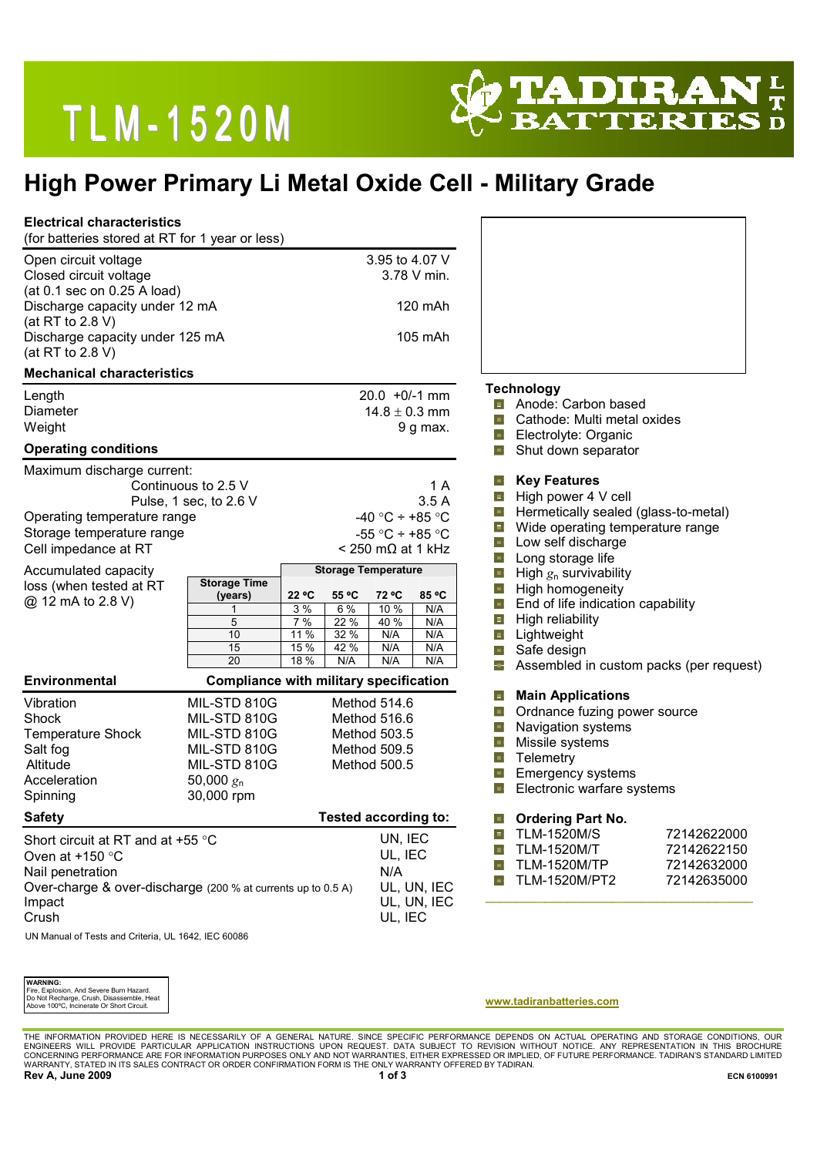# TLM-1520M



## High Power Primary Li Metal Oxide Cell - Military Grade

| <b>Electrical characteristics</b><br>(for batteries stored at RT for 1 year or less)                                                                          |                                                                                                            |                                                                                                                       |                                                                                        |                                                                                                                                                                                                                |                                                                                                                                                                                |                                                          |
|---------------------------------------------------------------------------------------------------------------------------------------------------------------|------------------------------------------------------------------------------------------------------------|-----------------------------------------------------------------------------------------------------------------------|----------------------------------------------------------------------------------------|----------------------------------------------------------------------------------------------------------------------------------------------------------------------------------------------------------------|--------------------------------------------------------------------------------------------------------------------------------------------------------------------------------|----------------------------------------------------------|
| Open circuit voltage<br>Closed circuit voltage<br>(at 0.1 sec on 0.25 A load)<br>Discharge capacity under 12 mA<br>(at RT to 2.8 V)                           |                                                                                                            | 3.95 to 4.07 V<br>3.78 V min.<br>120 mAh                                                                              |                                                                                        |                                                                                                                                                                                                                |                                                                                                                                                                                |                                                          |
| Discharge capacity under 125 mA<br>(at RT to 2.8 V)                                                                                                           |                                                                                                            |                                                                                                                       | 105 mAh                                                                                |                                                                                                                                                                                                                |                                                                                                                                                                                |                                                          |
| <b>Mechanical characteristics</b>                                                                                                                             |                                                                                                            |                                                                                                                       |                                                                                        |                                                                                                                                                                                                                |                                                                                                                                                                                |                                                          |
| Length<br>Diameter<br>Weight<br><b>Operating conditions</b>                                                                                                   |                                                                                                            | $20.0 + 0/-1$ mm<br>$14.8 \pm 0.3$ mm<br>9 g max.                                                                     |                                                                                        | <b>Technology</b><br><b>n</b> Anode: Carbon based<br>Cathode: Multi metal oxides<br>4<br>Electrolyte: Organic<br>車<br>Shut down separator<br>╺╬                                                                |                                                                                                                                                                                |                                                          |
| Maximum discharge current:                                                                                                                                    |                                                                                                            |                                                                                                                       |                                                                                        |                                                                                                                                                                                                                |                                                                                                                                                                                |                                                          |
| Continuous to 2.5 V<br>Pulse, 1 sec, to 2.6 V<br>Operating temperature range<br>Storage temperature range<br>Cell impedance at RT                             |                                                                                                            | 1 A<br>3.5A<br>-40 °C ÷ +85 °C<br>-55 °C $\div$ +85 °C<br>$<$ 250 m $\Omega$ at 1 kHz                                 |                                                                                        | <b>Key Features</b><br>車<br>車<br>High power 4 V cell<br>Hermetically sealed (glass-to-metal)<br>÷.<br>Wide operating temperature range<br>車<br>Low self discharge<br>$\blacksquare$<br>ф.<br>Long storage life |                                                                                                                                                                                |                                                          |
| Accumulated capacity<br>loss (when tested at RT<br>@ 12 mA to 2.8 V)                                                                                          | <b>Storage Time</b><br>(years)<br>1<br>$\overline{5}$<br>10<br>15<br>20                                    | <b>Storage Temperature</b><br>22 °C<br>55 °C<br>3%<br>6%<br>7%<br>22 %<br>11 %<br>32 %<br>15 %<br>42 %<br>18 %<br>N/A | 72 °C<br>85 °C<br>10 %<br>N/A<br>40 %<br>N/A<br>N/A<br>N/A<br>N/A<br>N/A<br>N/A<br>N/A | 車<br>호<br>車<br>4<br>車<br>÷<br>46                                                                                                                                                                               | High $g_n$ survivability<br>High homogeneity<br>End of life indication capability<br>High reliability<br>Lightweight<br>Safe design<br>Assembled in custom packs (per request) |                                                          |
| <b>Environmental</b>                                                                                                                                          |                                                                                                            | <b>Compliance with military specification</b>                                                                         |                                                                                        |                                                                                                                                                                                                                |                                                                                                                                                                                |                                                          |
| Vibration<br>Shock<br><b>Temperature Shock</b><br>Salt fog<br>Altitude<br>Acceleration<br>Spinning                                                            | MIL-STD 810G<br>MIL-STD 810G<br>MIL-STD 810G<br>MIL-STD 810G<br>MIL-STD 810G<br>50,000 $g_n$<br>30,000 rpm | Method 514.6<br>Method 516.6<br>Method 503.5<br>Method 509.5<br>Method 500.5                                          |                                                                                        | ф,<br>平<br>$\frac{1}{2}$<br>車<br>$\frac{1}{2}$<br>画<br>ᆃ                                                                                                                                                       | <b>Main Applications</b><br>Ordnance fuzing power source<br>Navigation systems<br>Missile systems<br>Telemetry<br>Emergency systems<br>Electronic warfare systems              |                                                          |
| <b>Safety</b>                                                                                                                                                 |                                                                                                            |                                                                                                                       | <b>Tested according to:</b>                                                            | нųн                                                                                                                                                                                                            | <b>Ordering Part No.</b>                                                                                                                                                       |                                                          |
| Short circuit at RT and at +55 °C<br>Oven at $+150$ °C<br>Nail penetration<br>Over-charge & over-discharge (200 % at currents up to 0.5 A)<br>Impact<br>Crush |                                                                                                            |                                                                                                                       | UN, IEC<br>UL, IEC<br>N/A<br>UL, UN, IEC<br>UL, UN, IEC<br>UL, IEC                     | 車<br>車<br>車<br>-del                                                                                                                                                                                            | <b>TLM-1520M/S</b><br><b>TLM-1520M/T</b><br><b>TLM-1520M/TP</b><br><b>TLM-1520M/PT2</b>                                                                                        | 72142622000<br>72142622150<br>72142632000<br>72142635000 |

**WARNING** Fire, Explosion, And Severe Burn Hazard. Do Not Recharge, Crush, Disassemble, Heat Above 100ºC, Incinerate Or Short Circuit.

#### www.tadiranbatteries.com

THE INFORMATION PROVIDED HERE IS NECESSARILY OF A GENERAL NATURE. SINCE SPECIFIC PERFORMANCE DEPENDS ON ACTUAL OPERATING AND STORAGE CONDITIONS, OUR<br>ENGINEERS WILL PROVIDE PARTICULAR APPLICATION INSTRUCTIONS UPON REQUEST. Rev A, June 2009 ECN 6100991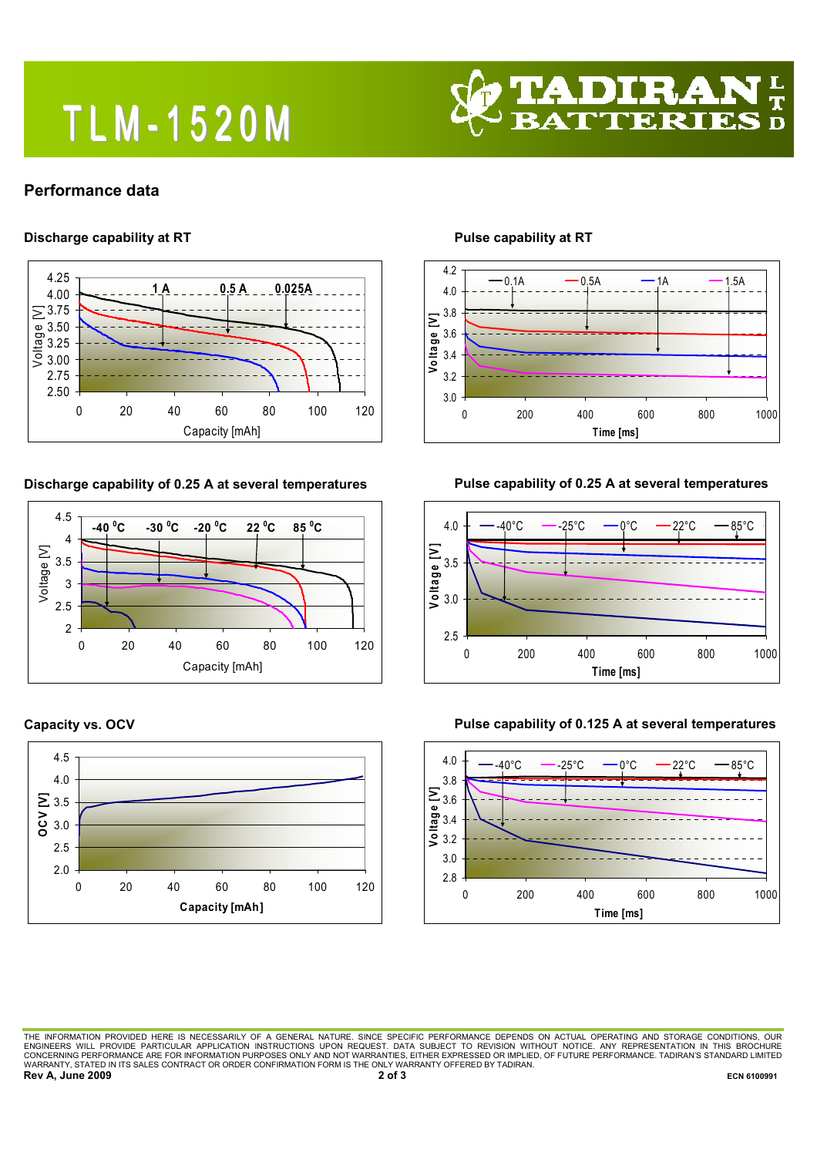# T L M - 1 5 2 0 M



## Performance data

### Discharge capability at RT



#### Discharge capability of 0.25 A at several temperatures







Pulse capability at RT



## Pulse capability of 0.25 A at several temperatures





#### Pulse capability of 0.125 A at several temperatures

THE INFORMATION PROVIDED HERE IS NECESSARILY OF A GENERAL NATURE. SINCE SPECIFIC PERFORMANCE DEPENDS ON ACTUAL OPERATING AND STORAGE CONDITIONS, OUR<br>ENGINEERS WILL PROVIDE PARTICULAR APPLICATION INSTRUCTIONS UPON REQUEST. Rev A, June 2009 2009 ECN 6100991